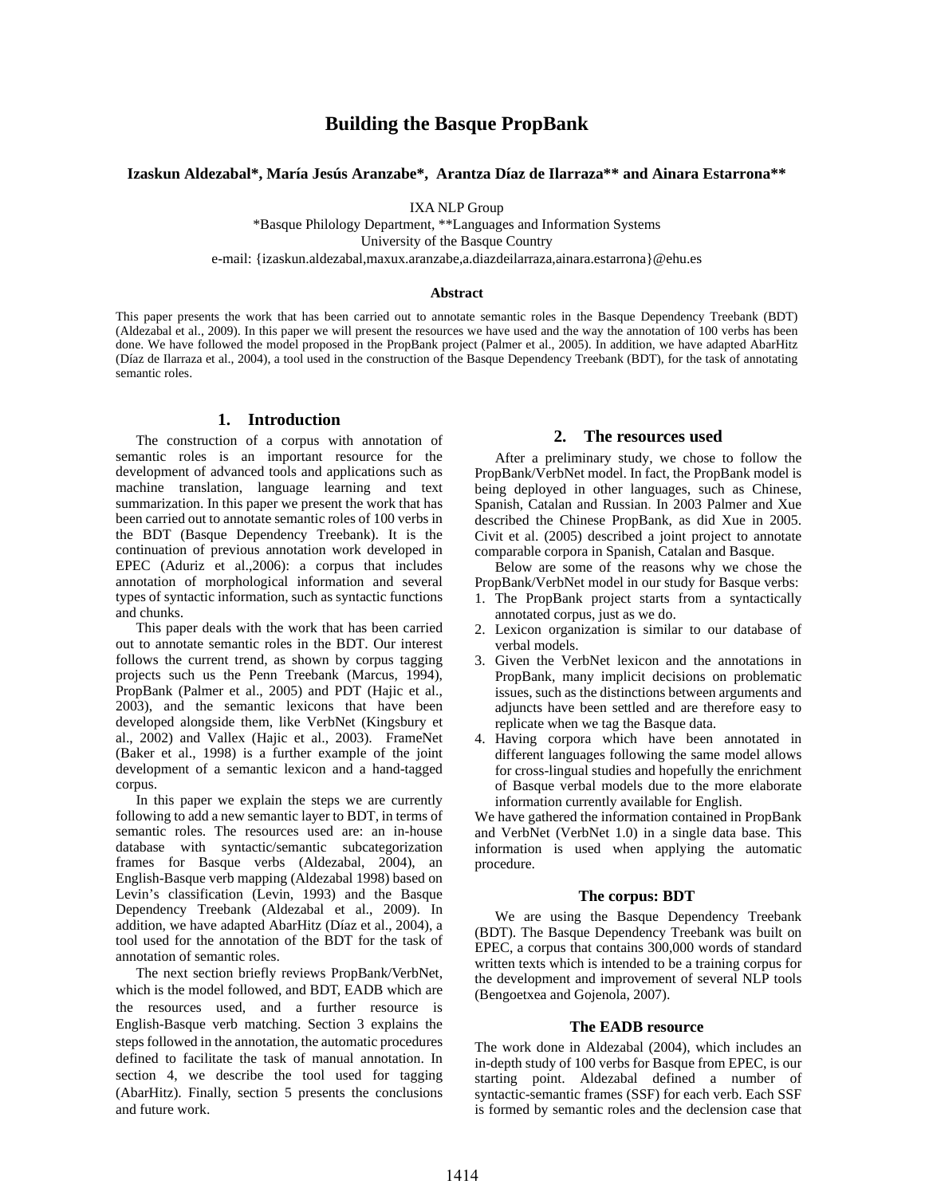# **Building the Basque PropBank**

## **Izaskun Aldezabal\*, María Jesús Aranzabe\*, Arantza Díaz de Ilarraza\*\* and Ainara Estarrona\*\***

IXA NLP Group

\*Basque Philology Department, \*\*Languages and Information Systems University of the Basque Country e-mail: {izaskun.aldezabal,maxux.aranzabe,a.diazdeilarraza,ainara.estarrona}@ehu.es

#### **Abstract**

This paper presents the work that has been carried out to annotate semantic roles in the Basque Dependency Treebank (BDT) (Aldezabal et al., 2009). In this paper we will present the resources we have used and the way the annotation of 100 verbs has been done. We have followed the model proposed in the PropBank project (Palmer et al., 2005). In addition, we have adapted AbarHitz (Díaz de Ilarraza et al., 2004), a tool used in the construction of the Basque Dependency Treebank (BDT), for the task of annotating semantic roles.

#### **1. Introduction**

The construction of a corpus with annotation of semantic roles is an important resource for the development of advanced tools and applications such as machine translation, language learning and text summarization. In this paper we present the work that has been carried out to annotate semantic roles of 100 verbs in the BDT (Basque Dependency Treebank). It is the continuation of previous annotation work developed in EPEC (Aduriz et al.,2006): a corpus that includes annotation of morphological information and several types of syntactic information, such as syntactic functions and chunks.

This paper deals with the work that has been carried out to annotate semantic roles in the BDT. Our interest follows the current trend, as shown by corpus tagging projects such us the Penn Treebank (Marcus, 1994), PropBank (Palmer et al., 2005) and PDT (Hajic et al., 2003), and the semantic lexicons that have been developed alongside them, like VerbNet (Kingsbury et al., 2002) and Vallex (Hajic et al., 2003). FrameNet (Baker et al., 1998) is a further example of the joint development of a semantic lexicon and a hand-tagged corpus.

In this paper we explain the steps we are currently following to add a new semantic layer to BDT, in terms of semantic roles. The resources used are: an in-house database with syntactic/semantic subcategorization frames for Basque verbs (Aldezabal, 2004), an English-Basque verb mapping (Aldezabal 1998) based on Levin's classification (Levin, 1993) and the Basque Dependency Treebank (Aldezabal et al., 2009). In addition, we have adapted AbarHitz (Díaz et al., 2004), a tool used for the annotation of the BDT for the task of annotation of semantic roles.

The next section briefly reviews PropBank/VerbNet, which is the model followed, and BDT, EADB which are the resources used, and a further resource is English-Basque verb matching. Section 3 explains the steps followed in the annotation, the automatic procedures defined to facilitate the task of manual annotation. In section 4, we describe the tool used for tagging (AbarHitz). Finally, section 5 presents the conclusions and future work.

#### **2. The resources used**

After a preliminary study, we chose to follow the PropBank/VerbNet model. In fact, the PropBank model is being deployed in other languages, such as Chinese, Spanish, Catalan and Russian. In 2003 Palmer and Xue described the Chinese PropBank, as did Xue in 2005. Civit et al. (2005) described a joint project to annotate comparable corpora in Spanish, Catalan and Basque.

Below are some of the reasons why we chose the PropBank/VerbNet model in our study for Basque verbs:

- 1. The PropBank project starts from a syntactically annotated corpus, just as we do.
- 2. Lexicon organization is similar to our database of verbal models.
- 3. Given the VerbNet lexicon and the annotations in PropBank, many implicit decisions on problematic issues, such as the distinctions between arguments and adjuncts have been settled and are therefore easy to replicate when we tag the Basque data.
- 4. Having corpora which have been annotated in different languages following the same model allows for cross-lingual studies and hopefully the enrichment of Basque verbal models due to the more elaborate information currently available for English.

We have gathered the information contained in PropBank and VerbNet (VerbNet 1.0) in a single data base. This information is used when applying the automatic procedure.

#### **The corpus: BDT**

We are using the Basque Dependency Treebank (BDT). The Basque Dependency Treebank was built on EPEC, a corpus that contains 300,000 words of standard written texts which is intended to be a training corpus for the development and improvement of several NLP tools (Bengoetxea and Gojenola, 2007).

#### **The EADB resource**

The work done in Aldezabal (2004), which includes an in-depth study of 100 verbs for Basque from EPEC, is our starting point. Aldezabal defined a number of syntactic-semantic frames (SSF) for each verb. Each SSF is formed by semantic roles and the declension case that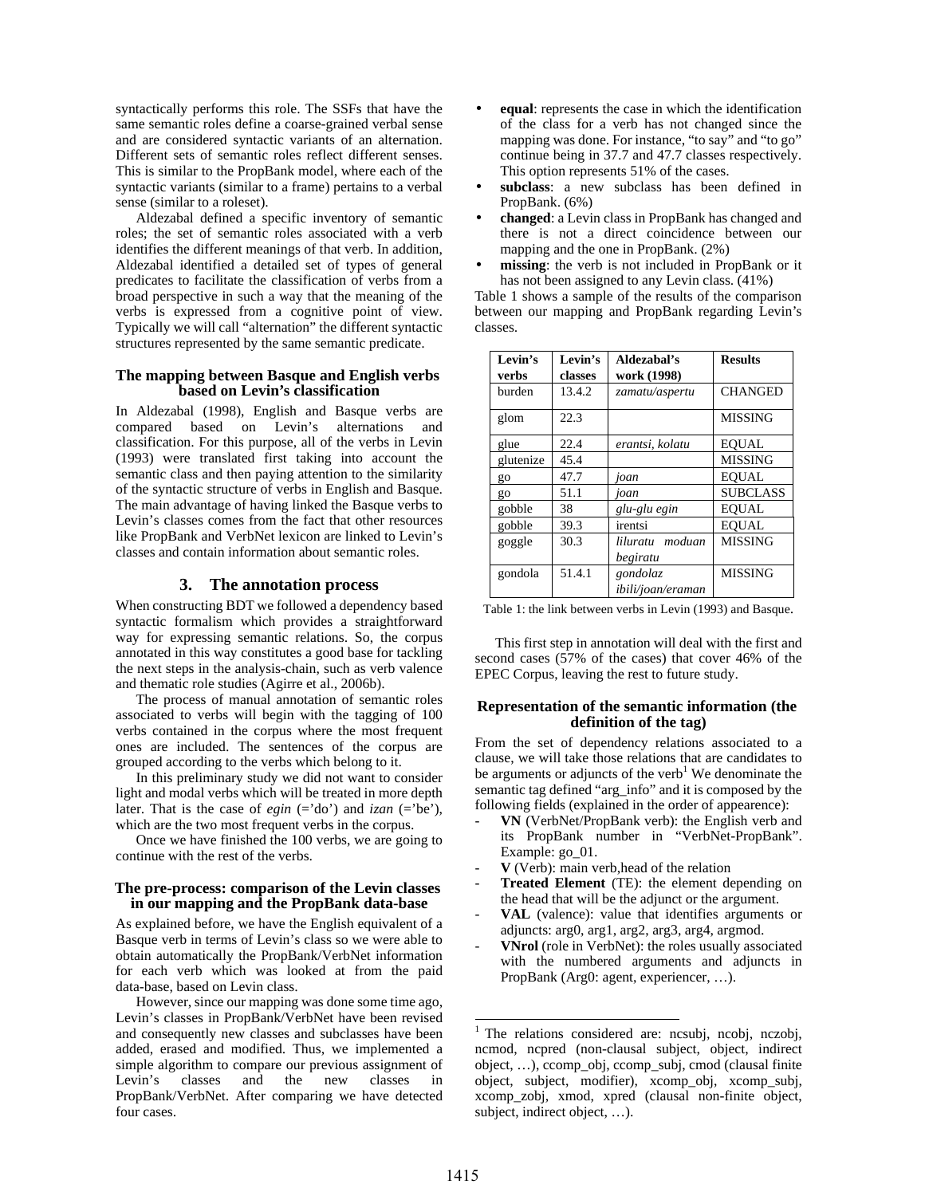syntactically performs this role. The SSFs that have the same semantic roles define a coarse-grained verbal sense and are considered syntactic variants of an alternation. Different sets of semantic roles reflect different senses. This is similar to the PropBank model, where each of the syntactic variants (similar to a frame) pertains to a verbal sense (similar to a roleset).

Aldezabal defined a specific inventory of semantic roles; the set of semantic roles associated with a verb identifies the different meanings of that verb. In addition, Aldezabal identified a detailed set of types of general predicates to facilitate the classification of verbs from a broad perspective in such a way that the meaning of the verbs is expressed from a cognitive point of view. Typically we will call "alternation" the different syntactic structures represented by the same semantic predicate.

#### **The mapping between Basque and English verbs based on Levin's classification**

In Aldezabal (1998), English and Basque verbs are compared based on Levin's alternations and classification. For this purpose, all of the verbs in Levin (1993) were translated first taking into account the semantic class and then paying attention to the similarity of the syntactic structure of verbs in English and Basque. The main advantage of having linked the Basque verbs to Levin's classes comes from the fact that other resources like PropBank and VerbNet lexicon are linked to Levin's classes and contain information about semantic roles.

## **3. The annotation process**

When constructing BDT we followed a dependency based syntactic formalism which provides a straightforward way for expressing semantic relations. So, the corpus annotated in this way constitutes a good base for tackling the next steps in the analysis-chain, such as verb valence and thematic role studies (Agirre et al., 2006b).

The process of manual annotation of semantic roles associated to verbs will begin with the tagging of 100 verbs contained in the corpus where the most frequent ones are included. The sentences of the corpus are grouped according to the verbs which belong to it.

In this preliminary study we did not want to consider light and modal verbs which will be treated in more depth later. That is the case of *egin*  $(= 'do')$  and *izan*  $(= 'be')$ , which are the two most frequent verbs in the corpus.

Once we have finished the 100 verbs, we are going to continue with the rest of the verbs.

#### **The pre-process: comparison of the Levin classes in our mapping and the PropBank data-base**

As explained before, we have the English equivalent of a Basque verb in terms of Levin's class so we were able to obtain automatically the PropBank/VerbNet information for each verb which was looked at from the paid data-base, based on Levin class.

However, since our mapping was done some time ago, Levin's classes in PropBank/VerbNet have been revised and consequently new classes and subclasses have been added, erased and modified. Thus, we implemented a simple algorithm to compare our previous assignment of Levin's classes and the new classes in PropBank/VerbNet. After comparing we have detected four cases.

- **equal**: represents the case in which the identification of the class for a verb has not changed since the mapping was done. For instance, "to say" and "to go" continue being in 37.7 and 47.7 classes respectively. This option represents 51% of the cases.
- subclass: a new subclass has been defined in PropBank. (6%)
- **changed**: a Levin class in PropBank has changed and there is not a direct coincidence between our mapping and the one in PropBank. (2%)
- **missing**: the verb is not included in PropBank or it has not been assigned to any Levin class. (41%)

Table 1 shows a sample of the results of the comparison between our mapping and PropBank regarding Levin's classes.

| Levin's<br>verbs | Levin's<br>classes | Aldezabal's<br>work (1998)    | <b>Results</b>  |
|------------------|--------------------|-------------------------------|-----------------|
| burden           | 13.4.2             | zamatu/aspertu                | <b>CHANGED</b>  |
| glom             | 22.3               |                               | <b>MISSING</b>  |
| glue             | 22.4               | erantsi, kolatu               | <b>EOUAL</b>    |
| glutenize        | 45.4               |                               | <b>MISSING</b>  |
| go               | 47.7               | joan                          | <b>EOUAL</b>    |
| go               | 51.1               | joan                          | <b>SUBCLASS</b> |
| gobble           | 38                 | glu-glu egin                  | <b>EQUAL</b>    |
| gobble           | 39.3               | irentsi                       | <b>EOUAL</b>    |
| goggle           | 30.3               | moduan<br>liluratu            | <b>MISSING</b>  |
|                  |                    | begiratu                      |                 |
| gondola          | 51.4.1             | gondolaz<br>ibili/joan/eraman | <b>MISSING</b>  |

Table 1: the link between verbs in Levin (1993) and Basque.

This first step in annotation will deal with the first and second cases (57% of the cases) that cover 46% of the EPEC Corpus, leaving the rest to future study.

## **Representation of the semantic information (the definition of the tag)**

From the set of dependency relations associated to a clause, we will take those relations that are candidates to be arguments or adjuncts of the verb<sup>1</sup> We denominate the semantic tag defined "arg\_info" and it is composed by the following fields (explained in the order of appearence):

- **VN** (VerbNet/PropBank verb): the English verb and its PropBank number in "VerbNet-PropBank". Example: go\_01.
- **V** (Verb): main verb,head of the relation
- **Treated Element** (TE): the element depending on the head that will be the adjunct or the argument.
- VAL (valence): value that identifies arguments or adjuncts: arg0, arg1, arg2, arg3, arg4, argmod.
- VNrol (role in VerbNet): the roles usually associated with the numbered arguments and adjuncts in PropBank (Arg0: agent, experiencer, …).

<sup>-</sup>1 The relations considered are: ncsubj, ncobj, nczobj, ncmod, ncpred (non-clausal subject, object, indirect object, …), ccomp\_obj, ccomp\_subj, cmod (clausal finite object, subject, modifier), xcomp\_obj, xcomp\_subj, xcomp\_zobj, xmod, xpred (clausal non-finite object, subject, indirect object, …).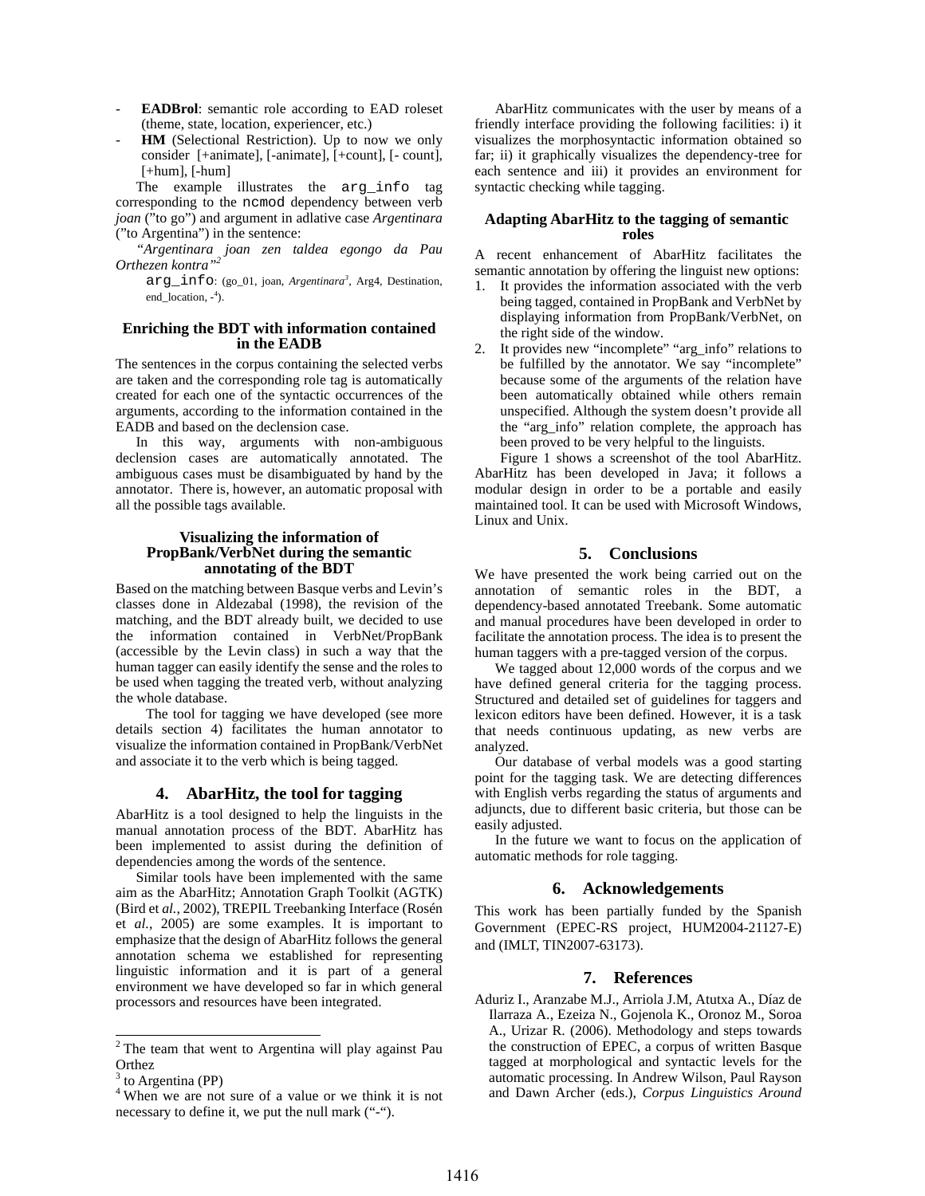- **EADBrol**: semantic role according to EAD roleset (theme, state, location, experiencer, etc.)
- **HM** (Selectional Restriction). Up to now we only consider [+animate], [-animate], [+count], [- count],  $[-{\text{hum}}], [-{\text{hum}}]$

The example illustrates the arg\_info tag corresponding to the ncmod dependency between verb *joan* ("to go") and argument in adlative case *Argentinara* ("to Argentina") in the sentence:

*"Argentinara joan zen taldea egongo da Pau Orthezen kontra"<sup>2</sup>*

arg\_info: (go\_01, joan, *Argentinara<sup>3</sup>* , Arg4, Destination, end\_location, -<sup>4</sup>).

#### **Enriching the BDT with information contained in the EADB**

The sentences in the corpus containing the selected verbs are taken and the corresponding role tag is automatically created for each one of the syntactic occurrences of the arguments, according to the information contained in the EADB and based on the declension case.

In this way, arguments with non-ambiguous declension cases are automatically annotated. The ambiguous cases must be disambiguated by hand by the annotator. There is, however, an automatic proposal with all the possible tags available.

## **Visualizing the information of PropBank/VerbNet during the semantic annotating of the BDT**

Based on the matching between Basque verbs and Levin's classes done in Aldezabal (1998), the revision of the matching, and the BDT already built, we decided to use the information contained in VerbNet/PropBank (accessible by the Levin class) in such a way that the human tagger can easily identify the sense and the roles to be used when tagging the treated verb, without analyzing the whole database.

The tool for tagging we have developed (see more details section 4) facilitates the human annotator to visualize the information contained in PropBank/VerbNet and associate it to the verb which is being tagged.

## **4. AbarHitz, the tool for tagging**

AbarHitz is a tool designed to help the linguists in the manual annotation process of the BDT. AbarHitz has been implemented to assist during the definition of dependencies among the words of the sentence.

Similar tools have been implemented with the same aim as the AbarHitz; Annotation Graph Toolkit (AGTK) (Bird et *al.*, 2002), TREPIL Treebanking Interface (Rosén et *al.*, 2005) are some examples. It is important to emphasize that the design of AbarHitz follows the general annotation schema we established for representing linguistic information and it is part of a general environment we have developed so far in which general processors and resources have been integrated.

AbarHitz communicates with the user by means of a friendly interface providing the following facilities: i) it visualizes the morphosyntactic information obtained so far; ii) it graphically visualizes the dependency-tree for each sentence and iii) it provides an environment for syntactic checking while tagging.

#### **Adapting AbarHitz to the tagging of semantic roles**

A recent enhancement of AbarHitz facilitates the semantic annotation by offering the linguist new options:

- It provides the information associated with the verb being tagged, contained in PropBank and VerbNet by displaying information from PropBank/VerbNet, on the right side of the window.
- 2. It provides new "incomplete" "arg\_info" relations to be fulfilled by the annotator. We say "incomplete" because some of the arguments of the relation have been automatically obtained while others remain unspecified. Although the system doesn't provide all the "arg\_info" relation complete, the approach has been proved to be very helpful to the linguists.

Figure 1 shows a screenshot of the tool AbarHitz. AbarHitz has been developed in Java; it follows a modular design in order to be a portable and easily maintained tool. It can be used with Microsoft Windows, Linux and Unix.

## **5. Conclusions**

We have presented the work being carried out on the annotation of semantic roles in the BDT, a dependency-based annotated Treebank. Some automatic and manual procedures have been developed in order to facilitate the annotation process. The idea is to present the human taggers with a pre-tagged version of the corpus.

We tagged about 12,000 words of the corpus and we have defined general criteria for the tagging process. Structured and detailed set of guidelines for taggers and lexicon editors have been defined. However, it is a task that needs continuous updating, as new verbs are analyzed.

Our database of verbal models was a good starting point for the tagging task. We are detecting differences with English verbs regarding the status of arguments and adjuncts, due to different basic criteria, but those can be easily adjusted.

In the future we want to focus on the application of automatic methods for role tagging.

#### **6. Acknowledgements**

This work has been partially funded by the Spanish Government (EPEC-RS project, HUM2004-21127-E) and (IMLT, TIN2007-63173).

## **7. References**

Aduriz I., Aranzabe M.J., Arriola J.M, Atutxa A., Díaz de Ilarraza A., Ezeiza N., Gojenola K., Oronoz M., Soroa A., Urizar R. (2006). Methodology and steps towards the construction of EPEC, a corpus of written Basque tagged at morphological and syntactic levels for the automatic processing. In Andrew Wilson, Paul Rayson and Dawn Archer (eds.), *Corpus Linguistics Around* 

<sup>&</sup>lt;sup>2</sup> The team that went to Argentina will play against Pau **Orthez** 

<sup>&</sup>lt;sup>3</sup> to Argentina (PP)

<sup>4</sup> When we are not sure of a value or we think it is not necessary to define it, we put the null mark ("-").